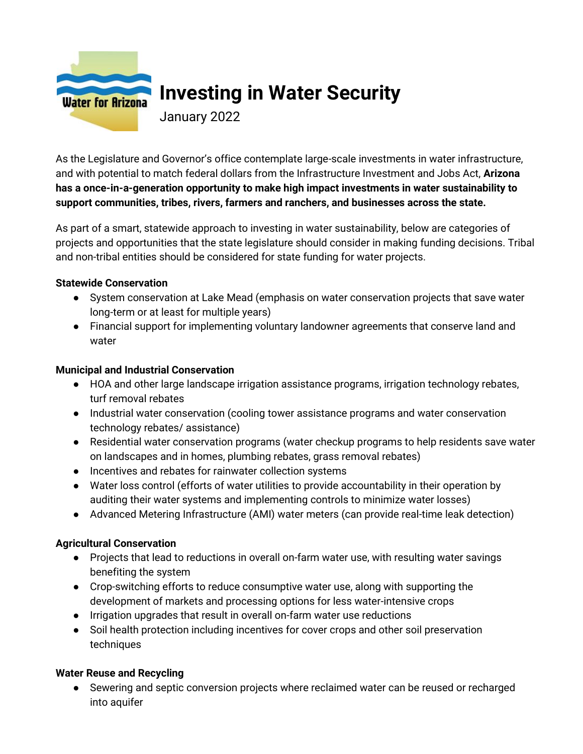

# **Investing in Water Security**

January 2022

As the Legislature and Governor's office contemplate large-scale investments in water infrastructure, and with potential to match federal dollars from the Infrastructure Investment and Jobs Act, **Arizona has a once-in-a-generation opportunity to make high impact investments in water sustainability to support communities, tribes, rivers, farmers and ranchers, and businesses across the state.**

As part of a smart, statewide approach to investing in water sustainability, below are categories of projects and opportunities that the state legislature should consider in making funding decisions. Tribal and non-tribal entities should be considered for state funding for water projects.

#### **Statewide Conservation**

- System conservation at Lake Mead (emphasis on water conservation projects that save water long-term or at least for multiple years)
- Financial support for implementing voluntary landowner agreements that conserve land and water

# **Municipal and Industrial Conservation**

- HOA and other large landscape irrigation assistance programs, irrigation technology rebates, turf removal rebates
- Industrial water conservation (cooling tower assistance programs and water conservation technology rebates/ assistance)
- Residential water conservation programs (water checkup programs to help residents save water on landscapes and in homes, plumbing rebates, grass removal rebates)
- Incentives and rebates for rainwater collection systems
- Water loss control (efforts of water utilities to provide accountability in their operation by auditing their water systems and implementing controls to minimize water losses)
- Advanced Metering Infrastructure (AMI) water meters (can provide real-time leak detection)

# **Agricultural Conservation**

- Projects that lead to reductions in overall on-farm water use, with resulting water savings benefiting the system
- Crop-switching efforts to reduce consumptive water use, along with supporting the development of markets and processing options for less water-intensive crops
- Irrigation upgrades that result in overall on-farm water use reductions
- Soil health protection including incentives for cover crops and other soil preservation techniques

# **Water Reuse and Recycling**

● Sewering and septic conversion projects where reclaimed water can be reused or recharged into aquifer